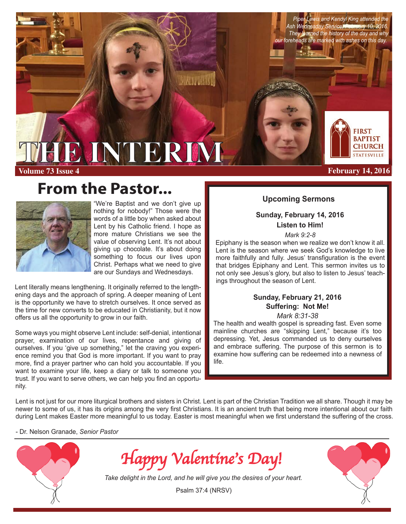*Piper Lewis and Kendyl King attended the Ash Wednesday Service, February 10, 2016. They learned the history of the day and why our foreheads are marked with ashes on this day.* 

**February 14, 2016**

**FIRST BAPTIST CHURCH STATESVILLE** 

# **THE INTERIM**

**Volume 73 Issue 4**

# **From the Pastor...**



"We're Baptist and we don't give up nothing for nobody!" Those were the words of a little boy when asked about Lent by his Catholic friend. I hope as more mature Christians we see the value of observing Lent. It's not about giving up chocolate. It's about doing something to focus our lives upon Christ. Perhaps what we need to give are our Sundays and Wednesdays.

Lent literally means lengthening. It originally referred to the lengthening days and the approach of spring. A deeper meaning of Lent is the opportunity we have to stretch ourselves. It once served as the time for new converts to be educated in Christianity, but it now offers us all the opportunity to grow in our faith.

Some ways you might observe Lent include: self-denial, intentional prayer, examination of our lives, repentance and giving of ourselves. If you 'give up something," let the craving you experience remind you that God is more important. If you want to pray more, find a prayer partner who can hold you accountable. If you want to examine your life, keep a diary or talk to someone you trust. If you want to serve others, we can help you find an opportunity.

### **Upcoming Sermons**

**Sunday, February 14, 2016 Listen to Him!**

*Mark 9:2-8*

Epiphany is the season when we realize we don't know it all. Lent is the season where we seek God's knowledge to live more faithfully and fully. Jesus' transfiguration is the event that bridges Epiphany and Lent. This sermon invites us to not only see Jesus's glory, but also to listen to Jesus' teachings throughout the season of Lent.

### **Sunday, February 21, 2016 Suffering: Not Me!** *Mark 8:31-38*

The health and wealth gospel is spreading fast. Even some mainline churches are "skipping Lent," because it's too depressing. Yet, Jesus commanded us to deny ourselves and embrace suffering. The purpose of this sermon is to examine how suffering can be redeemed into a newness of

Lent is not just for our more liturgical brothers and sisters in Christ. Lent is part of the Christian Tradition we all share. Though it may be newer to some of us, it has its origins among the very first Christians. It is an ancient truth that being more intentional about our faith during Lent makes Easter more meaningful to us today. Easter is most meaningful when we first understand the suffering of the cross.

 $20011$ 

life.

- Dr. Nelson Granade, *Senior Pastor*



*Happy Valentine's Day!*

*Take delight in the Lord, and he will give you the desires of your heart.*

Psalm 37:4 (NRSV)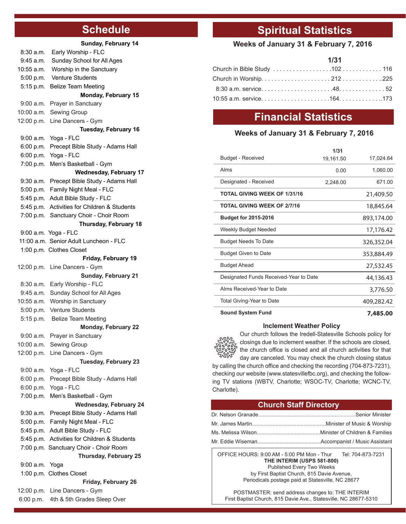### **Schedule**

|             | Sunday, February 14                                                    |
|-------------|------------------------------------------------------------------------|
| 8:30a.m.    | Early Worship - FLC                                                    |
| 9:45 a.m.   | Sunday School for All Ages                                             |
| 10:55 a.m.  | Worship in the Sanctuary                                               |
| 5:00 p.m.   | Venture Students                                                       |
| 5:15 p.m.   | <b>Belize Team Meeting</b>                                             |
|             | Monday, February 15                                                    |
| $9:00$ a.m. | Prayer in Sanctuary                                                    |
| 10:00 a.m.  | Sewing Group                                                           |
| 12:00 p.m.  | Line Dancers - Gym                                                     |
|             | Tuesday, February 16                                                   |
| 9:00 a.m.   | Yoga - FLC                                                             |
| 6:00 p.m.   | Precept Bible Study - Adams Hall                                       |
| 6:00 p.m.   | Yoga - FLC                                                             |
| 7:00 p.m.   | Men's Basketball - Gym                                                 |
|             | <b>Wednesday, February 17</b>                                          |
| $9:30$ a.m. | Precept Bible Study - Adams Hall                                       |
| 5:00 p.m.   | Family Night Meal - FLC                                                |
| 5:45 p.m.   | Adult Bible Study - FLC                                                |
| 5:45 p.m.   | Activities for Children & Students                                     |
|             | 7:00 p.m. Sanctuary Choir - Choir Room<br>Thursday, February 18        |
|             | 9:00 a.m. Yoga - FLC                                                   |
|             | 11:00 a.m. Senior Adult Luncheon - FLC                                 |
|             | 1:00 p.m. Clothes Closet                                               |
|             | Friday, February 19                                                    |
| 12:00 p.m.  | Line Dancers - Gym                                                     |
|             | <b>Sunday, February 21</b>                                             |
| 8:30a.m.    | Early Worship - FLC                                                    |
| $9:45$ a.m. | Sunday School for All Ages                                             |
| 10:55 a.m.  | Worship in Sanctuary                                                   |
| 5:00 p.m.   | <b>Venture Students</b>                                                |
| 5:15 p.m.   | <b>Belize Team Meeting</b>                                             |
|             | Monday, February 22                                                    |
| 9:00 a.m.   | Prayer in Sanctuary                                                    |
|             | 10:00 a.m. Sewing Group                                                |
|             | 12:00 p.m. Line Dancers - Gym                                          |
|             | <b>Tuesday, February 23</b>                                            |
| 9:00 a.m.   | Yoga - FLC                                                             |
| 6:00 p.m.   | Precept Bible Study - Adams Hall                                       |
| 6:00 p.m.   | Yoga - FLC                                                             |
| 7:00 p.m.   | Men's Basketball - Gym                                                 |
|             | <b>Wednesday, February 24</b>                                          |
| $9:30$ a.m. | Precept Bible Study - Adams Hall                                       |
|             | 5:00 p.m. Family Night Meal - FLC                                      |
|             | 5:45 p.m. Adult Bible Study - FLC                                      |
|             | 5:45 p.m. Activities for Children & Students                           |
|             | 7:00 p.m. Sanctuary Choir - Choir Room                                 |
|             | Thursday, February 25                                                  |
| 9:00 a.m.   | Yoga                                                                   |
|             | 1:00 p.m. Clothes Closet                                               |
|             | Friday, February 26                                                    |
|             | 12:00 p.m. Line Dancers - Gym<br>6:00 p.m. 4th & 5th Grades Sleep Over |
|             |                                                                        |

## **Spiritual Statistics**

### **Weeks of January 31 & February 7, 2016**

| 1/31 |  |
|------|--|
|      |  |
|      |  |
|      |  |
|      |  |

### **Financial Statistics**

### **Weeks of January 31 & February 7, 2016**

**1/31**

|                                     |                                        | 1731      |            |
|-------------------------------------|----------------------------------------|-----------|------------|
|                                     | <b>Budget - Received</b>               | 19,161.50 | 17,024.64  |
|                                     | Alms                                   | 0.00      | 1,060.00   |
|                                     | Designated - Received                  | 2,248.00  | 671.00     |
| <b>TOTAL GIVING WEEK OF 1/31/16</b> |                                        |           | 21,409.50  |
|                                     | <b>TOTAL GIVING WEEK OF 2/7/16</b>     |           | 18,845.64  |
|                                     | <b>Budget for 2015-2016</b>            |           | 893,174.00 |
|                                     | Weekly Budget Needed                   |           | 17,176.42  |
|                                     | <b>Budget Needs To Date</b>            |           | 326,352.04 |
|                                     | <b>Budget Given to Date</b>            |           | 353,884.49 |
|                                     | <b>Budget Ahead</b>                    |           | 27,532.45  |
|                                     | Designated Funds Received-Year to Date |           | 44,136.43  |
|                                     | Alms Received-Year to Date             |           | 3,776.50   |
|                                     | Total Giving-Year to Date              |           | 409,282.42 |
|                                     | <b>Sound System Fund</b>               |           | 7,485.00   |
|                                     |                                        |           |            |

### **Inclement Weather Policy**

Our church follows the Iredell-Statesville Schools policy for closings due to inclement weather. If the schools are closed, the church office is closed and all church activities for that day are canceled. You may check the church closing status

by calling the church office and checking the recording (704-873-7231), checking our website (www.statesvillefbc.org), and checking the following TV stations (WBTV, Charlotte; WSOC-TV, Charlotte; WCNC-TV, Charlotte).

### **Church Staff Directory**

OFFICE HOURS: 9:00 AM - 5:00 PM Mon - Thur Tel: 704-873-7231 **THE INTERIM (USPS 581-800)** Published Every Two Weeks by First Baptist Church, 815 Davie Avenue,

Periodicals postage paid at Statesville, NC 28677

POSTMASTER: send address changes to: THE INTERIM First Baptist Church, 815 Davie Ave., Statesville, NC 28677-5310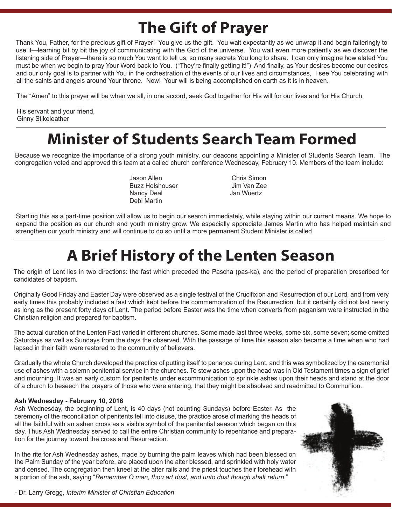# **The Gift of Prayer**

Thank You, Father, for the precious gift of Prayer! You give us the gift. You wait expectantly as we unwrap it and begin falteringly to use it—learning bit by bit the joy of communicating with the God of the universe. You wait even more patiently as we discover the listening side of Prayer—there is so much You want to tell us, so many secrets You long to share. I can only imagine how elated You must be when we begin to pray Your Word back to You. ("They're finally getting it!") And finally, as Your desires become our desires and our only goal is to partner with You in the orchestration of the events of our lives and circumstances, I see You celebrating with all the saints and angels around Your throne. Now! Your will is being accomplished on earth as it is in heaven.

The "Amen" to this prayer will be when we all, in one accord, seek God together for His will for our lives and for His Church.

His servant and your friend, Ginny Stikeleather

# **Minister of Students Search Team Formed**

Because we recognize the importance of a strong youth ministry, our deacons appointing a Minister of Students Search Team. The congregation voted and approved this team at a called church conference Wednesday, February 10. Members of the team include:

> Jason Allen Chris Simon Buzz Holshouser and Jim Van Zee<br>Nancy Deal Nancy Deal Debi Martin

Starting this as a part-time position will allow us to begin our search immediately, while staying within our current means. We hope to expand the position as our church and youth ministry grow. We especially appreciate James Martin who has helped maintain and strengthen our youth ministry and will continue to do so until a more permanent Student Minister is called.

# **A Brief History of the Lenten Season**

The origin of Lent lies in two directions: the fast which preceded the Pascha (pas-ka), and the period of preparation prescribed for candidates of baptism.

Originally Good Friday and Easter Day were observed as a single festival of the Crucifixion and Resurrection of our Lord, and from very early times this probably included a fast which kept before the commemoration of the Resurrection, but it certainly did not last nearly as long as the present forty days of Lent. The period before Easter was the time when converts from paganism were instructed in the Christian religion and prepared for baptism.

The actual duration of the Lenten Fast varied in different churches. Some made last three weeks, some six, some seven; some omitted Saturdays as well as Sundays from the days the observed. With the passage of time this season also became a time when who had lapsed in their faith were restored to the community of believers.

Gradually the whole Church developed the practice of putting itself to penance during Lent, and this was symbolized by the ceremonial use of ashes with a solemn penitential service in the churches. To stew ashes upon the head was in Old Testament times a sign of grief and mourning. It was an early custom for penitents under excommunication to sprinkle ashes upon their heads and stand at the door of a church to beseech the prayers of those who were entering, that they might be absolved and readmitted to Communion.

### **Ash Wednesday - February 10, 2016**

Ash Wednesday, the beginning of Lent, is 40 days (not counting Sundays) before Easter. As the ceremony of the reconciliation of penitents fell into disuse, the practice arose of marking the heads of all the faithful with an ashen cross as a visible symbol of the penitential season which began on this day. Thus Ash Wednesday served to call the entire Christian community to repentance and preparation for the journey toward the cross and Resurrection.

In the rite for Ash Wednesday ashes, made by burning the palm leaves which had been blessed on the Palm Sunday of the year before, are placed upon the alter blessed, and sprinkled with holy water and censed. The congregation then kneel at the alter rails and the priest touches their forehead with a portion of the ash, saying "*Remember O man, thou art dust, and unto dust though shalt return*."



- Dr. Larry Gregg, *Interim Minister of Christian Education*